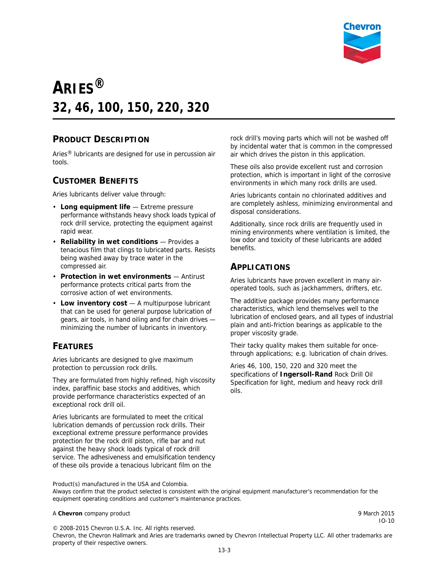

# **ARIES® 32, 46, 100, 150, 220, 320**

#### **PRODUCT DESCRIPTION**

Aries® lubricants are designed for use in percussion air tools.

#### **CUSTOMER BENEFITS**

Aries lubricants deliver value through:

- **Long equipment life** Extreme pressure performance withstands heavy shock loads typical of rock drill service, protecting the equipment against rapid wear.
- **Reliability in wet conditions** Provides a tenacious film that clings to lubricated parts. Resists being washed away by trace water in the compressed air.
- **Protection in wet environments** Antirust performance protects critical parts from the corrosive action of wet environments.
- **Low inventory cost** A multipurpose lubricant that can be used for general purpose lubrication of gears, air tools, in hand oiling and for chain drives minimizing the number of lubricants in inventory.

### **FEATURES**

Aries lubricants are designed to give maximum protection to percussion rock drills.

They are formulated from highly refined, high viscosity index, paraffinic base stocks and additives, which provide performance characteristics expected of an exceptional rock drill oil.

Aries lubricants are formulated to meet the critical lubrication demands of percussion rock drills. Their exceptional extreme pressure performance provides protection for the rock drill piston, rifle bar and nut against the heavy shock loads typical of rock drill service. The adhesiveness and emulsification tendency of these oils provide a tenacious lubricant film on the

rock drill's moving parts which will not be washed off by incidental water that is common in the compressed air which drives the piston in this application.

These oils also provide excellent rust and corrosion protection, which is important in light of the corrosive environments in which many rock drills are used.

Aries lubricants contain no chlorinated additives and are completely ashless, minimizing environmental and disposal considerations.

Additionally, since rock drills are frequently used in mining environments where ventilation is limited, the low odor and toxicity of these lubricants are added benefits.

#### **APPLICATIONS**

Aries lubricants have proven excellent in many airoperated tools, such as jackhammers, drifters, etc.

The additive package provides many performance characteristics, which lend themselves well to the lubrication of enclosed gears, and all types of industrial plain and anti-friction bearings as applicable to the proper viscosity grade.

Their tacky quality makes them suitable for oncethrough applications; e.g. lubrication of chain drives.

Aries 46, 100, 150, 220 and 320 meet the specifications of **Ingersoll-Rand** Rock Drill Oil Specification for light, medium and heavy rock drill oils.

Product(s) manufactured in the USA and Colombia.

Always confirm that the product selected is consistent with the original equipment manufacturer's recommendation for the equipment operating conditions and customer's maintenance practices.

#### A **Chevron** company product **9 March 2015**

IO-10

© 2008-2015 Chevron U.S.A. Inc. All rights reserved. Chevron, the Chevron Hallmark and Aries are trademarks owned by Chevron Intellectual Property LLC. All other trademarks are property of their respective owners.